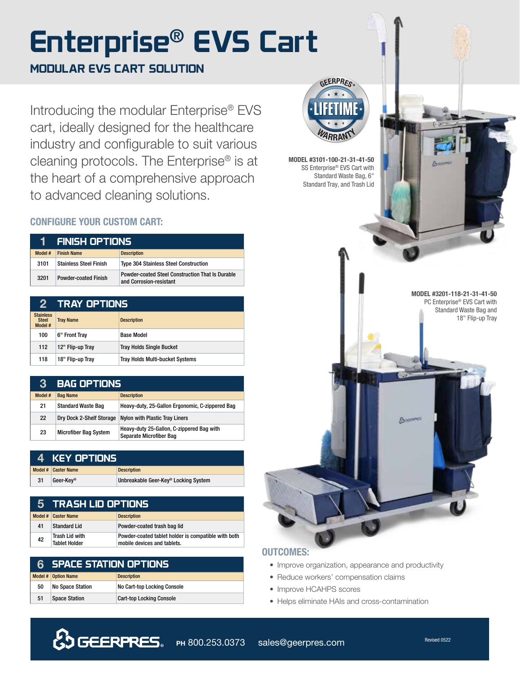# **Enterprise**® **EVS Cart**

## **MODULAR EVS CART SOLUTION**

Introducing the modular Enterprise® EVS cart, ideally designed for the healthcare industry and configurable to suit various cleaning protocols. The Enterprise® is at the heart of a comprehensive approach to advanced cleaning solutions.

### CONFIGURE YOUR CUSTOM CART:

| ٦I      | ' FINISH OPTIONS ,            |                                                                                    |
|---------|-------------------------------|------------------------------------------------------------------------------------|
| Model # | <b>Finish Name</b>            | <b>Description</b>                                                                 |
| 3101    | <b>Stainless Steel Finish</b> | <b>Type 304 Stainless Steel Construction</b>                                       |
| 3201    | <b>Powder-coated Finish</b>   | <b>Powder-coated Steel Construction That Is Durable</b><br>and Corrosion-resistant |

| 2                                           | TRAY OPTIONS     |                                        |
|---------------------------------------------|------------------|----------------------------------------|
| <b>Stainless</b><br><b>Steel</b><br>Model # | <b>Tray Name</b> | <b>Description</b>                     |
| 100                                         | 6" Front Tray    | <b>Base Model</b>                      |
| 112                                         | 12" Flip-up Tray | <b>Tray Holds Single Bucket</b>        |
| 118                                         | 18" Flip-up Tray | <b>Tray Holds Multi-bucket Systems</b> |

| $\bf{3}$ | <b>BAG OPTIONS</b>           |                                                                      |
|----------|------------------------------|----------------------------------------------------------------------|
| Model #  | <b>Bag Name</b>              | <b>Description</b>                                                   |
| 21       | <b>Standard Waste Bag</b>    | Heavy-duty, 25-Gallon Ergonomic, C-zippered Bag                      |
| 22       | Dry Dock 2-Shelf Storage     | <b>Nylon with Plastic Tray Liners</b>                                |
| 23       | <b>Microfiber Bag System</b> | Heavy-duty 25-Gallon, C-zippered Bag with<br>Separate Microfiber Bag |

|    | 4 KEY OPTIONS       |                                      |
|----|---------------------|--------------------------------------|
|    | Model # Caster Name | <b>Description</b>                   |
| 31 | Geer-Kev®           | Unbreakable Geer-Key® Locking System |

|    | 5 TRASH LID OPTIONS                    |                                                                                    |
|----|----------------------------------------|------------------------------------------------------------------------------------|
|    | Model # Caster Name                    | <b>Description</b>                                                                 |
| 41 | <b>Standard Lid</b>                    | Powder-coated trash bag lid                                                        |
| 42 | Trash Lid with<br><b>Tablet Holder</b> | Powder-coated tablet holder is compatible with both<br>mobile devices and tablets. |

|    | <b>6 SPACE STATION OPTIONS</b> |                                 |
|----|--------------------------------|---------------------------------|
|    | Model # Option Name            | <b>Description</b>              |
| 50 | <b>No Space Station</b>        | No Cart-top Locking Console     |
| 51 | <b>Space Station</b>           | <b>Cart-top Locking Console</b> |



MODEL #3101-100-21-31-41-50 SS Enterprise® EVS Cart with Standard Waste Bag, 6" Standard Tray, and Trash Lid

> MODEL #3201-118-21-31-41-50 PC Enterprise® EVS Cart with Standard Waste Bag and 18" Flip-up Tray

# OUTCOMES:

- Improve organization, appearance and productivity
- Reduce workers' compensation claims
- Improve HCAHPS scores
- Helps eliminate HAIs and cross-contamination